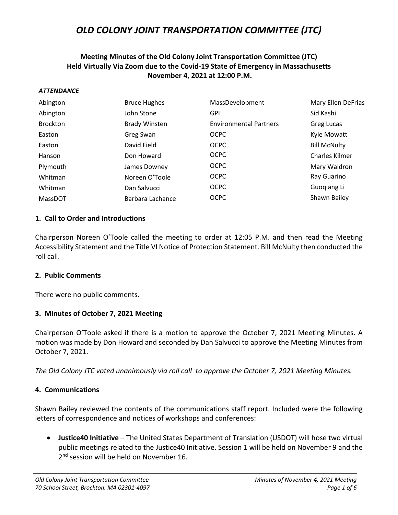## **Meeting Minutes of the Old Colony Joint Transportation Committee (JTC) Held Virtually Via Zoom due to the Covid-19 State of Emergency in Massachusetts November 4, 2021 at 12:00 P.M.**

#### *ATTENDANCE*

| Abington        | <b>Bruce Hughes</b>  | MassDevelopment               | Mary Ellen DeFrias    |
|-----------------|----------------------|-------------------------------|-----------------------|
| Abington        | John Stone           | <b>GPI</b>                    | Sid Kashi             |
| <b>Brockton</b> | <b>Brady Winsten</b> | <b>Environmental Partners</b> | Greg Lucas            |
| Easton          | Greg Swan            | <b>OCPC</b>                   | Kyle Mowatt           |
| Easton          | David Field          | <b>OCPC</b>                   | <b>Bill McNulty</b>   |
| Hanson          | Don Howard           | <b>OCPC</b>                   | <b>Charles Kilmer</b> |
| Plymouth        | James Downey         | <b>OCPC</b>                   | Mary Waldron          |
| Whitman         | Noreen O'Toole       | <b>OCPC</b>                   | Ray Guarino           |
| Whitman         | Dan Salvucci         | <b>OCPC</b>                   | Guogiang Li           |
| <b>MassDOT</b>  | Barbara Lachance     | <b>OCPC</b>                   | Shawn Bailey          |

#### **1. Call to Order and Introductions**

Chairperson Noreen O'Toole called the meeting to order at 12:05 P.M. and then read the Meeting Accessibility Statement and the Title VI Notice of Protection Statement. Bill McNulty then conducted the roll call.

#### **2. Public Comments**

There were no public comments.

### **3. Minutes of October 7, 2021 Meeting**

Chairperson O'Toole asked if there is a motion to approve the October 7, 2021 Meeting Minutes. A motion was made by Don Howard and seconded by Dan Salvucci to approve the Meeting Minutes from October 7, 2021.

*The Old Colony JTC voted unanimously via roll call to approve the October 7, 2021 Meeting Minutes.*

### **4. Communications**

Shawn Bailey reviewed the contents of the communications staff report. Included were the following letters of correspondence and notices of workshops and conferences:

• **Justice40 Initiative** – The United States Department of Translation (USDOT) will hose two virtual public meetings related to the Justice40 Initiative. Session 1 will be held on November 9 and the 2<sup>nd</sup> session will be held on November 16.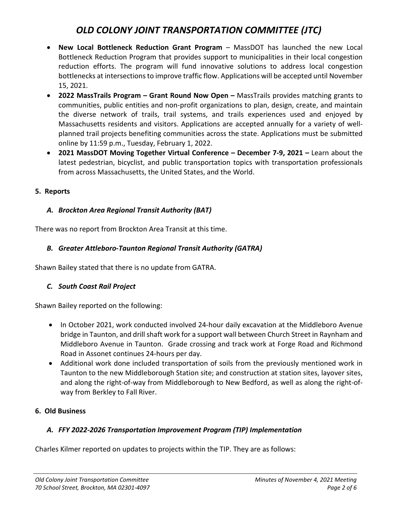- **New Local Bottleneck Reduction Grant Program** MassDOT has launched the new Local Bottleneck Reduction Program that provides support to municipalities in their local congestion reduction efforts. The program will fund innovative solutions to address local congestion bottlenecks at intersections to improve traffic flow. Applications will be accepted until November 15, 2021.
- **2022 MassTrails Program – Grant Round Now Open –** MassTrails provides matching grants to communities, public entities and non-profit organizations to plan, design, create, and maintain the diverse network of trails, trail systems, and trails experiences used and enjoyed by Massachusetts residents and visitors. Applications are accepted annually for a variety of wellplanned trail projects benefiting communities across the state. Applications must be submitted online by 11:59 p.m., Tuesday, February 1, 2022.
- **2021 MassDOT Moving Together Virtual Conference – December 7-9, 2021 –** Learn about the latest pedestrian, bicyclist, and public transportation topics with transportation professionals from across Massachusetts, the United States, and the World.

### **5. Reports**

# *A. Brockton Area Regional Transit Authority (BAT)*

There was no report from Brockton Area Transit at this time.

# *B. Greater Attleboro-Taunton Regional Transit Authority (GATRA)*

Shawn Bailey stated that there is no update from GATRA.

# *C. South Coast Rail Project*

Shawn Bailey reported on the following:

- In October 2021, work conducted involved 24-hour daily excavation at the Middleboro Avenue bridge in Taunton, and drill shaft work for a support wall between Church Street in Raynham and Middleboro Avenue in Taunton. Grade crossing and track work at Forge Road and Richmond Road in Assonet continues 24-hours per day.
- Additional work done included transportation of soils from the previously mentioned work in Taunton to the new Middleborough Station site; and construction at station sites, layover sites, and along the right-of-way from Middleborough to New Bedford, as well as along the right-ofway from Berkley to Fall River.

# **6. Old Business**

# *A. FFY 2022-2026 Transportation Improvement Program (TIP) Implementation*

Charles Kilmer reported on updates to projects within the TIP. They are as follows: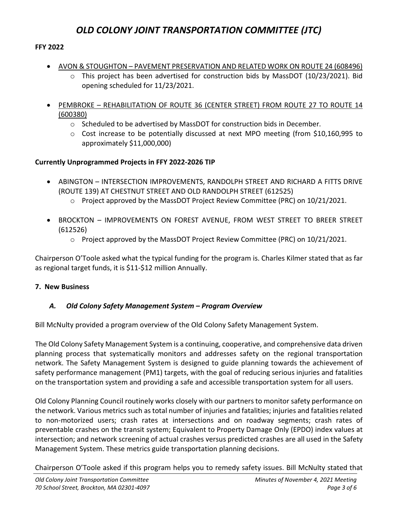### **FFY 2022**

- AVON & STOUGHTON PAVEMENT PRESERVATION AND RELATED WORK ON ROUTE 24 (608496)
	- $\circ$  This project has been advertised for construction bids by MassDOT (10/23/2021). Bid opening scheduled for 11/23/2021.
- PEMBROKE REHABILITATION OF ROUTE 36 (CENTER STREET) FROM ROUTE 27 TO ROUTE 14 (600380)
	- $\circ$  Scheduled to be advertised by MassDOT for construction bids in December.
	- $\circ$  Cost increase to be potentially discussed at next MPO meeting (from \$10,160,995 to approximately \$11,000,000)

## **Currently Unprogrammed Projects in FFY 2022-2026 TIP**

- ABINGTON INTERSECTION IMPROVEMENTS, RANDOLPH STREET AND RICHARD A FITTS DRIVE (ROUTE 139) AT CHESTNUT STREET AND OLD RANDOLPH STREET (612525)
	- $\circ$  Project approved by the MassDOT Project Review Committee (PRC) on 10/21/2021.
- BROCKTON IMPROVEMENTS ON FOREST AVENUE, FROM WEST STREET TO BREER STREET (612526)
	- o Project approved by the MassDOT Project Review Committee (PRC) on 10/21/2021.

Chairperson O'Toole asked what the typical funding for the program is. Charles Kilmer stated that as far as regional target funds, it is \$11-\$12 million Annually.

### **7. New Business**

# *A. Old Colony Safety Management System – Program Overview*

Bill McNulty provided a program overview of the Old Colony Safety Management System.

The Old Colony Safety Management System is a continuing, cooperative, and comprehensive data driven planning process that systematically monitors and addresses safety on the regional transportation network. The Safety Management System is designed to guide planning towards the achievement of safety performance management (PM1) targets, with the goal of reducing serious injuries and fatalities on the transportation system and providing a safe and accessible transportation system for all users.

Old Colony Planning Council routinely works closely with our partners to monitor safety performance on the network. Various metrics such as total number of injuries and fatalities; injuries and fatalities related to non-motorized users; crash rates at intersections and on roadway segments; crash rates of preventable crashes on the transit system; Equivalent to Property Damage Only (EPDO) index values at intersection; and network screening of actual crashes versus predicted crashes are all used in the Safety Management System. These metrics guide transportation planning decisions.

Chairperson O'Toole asked if this program helps you to remedy safety issues. Bill McNulty stated that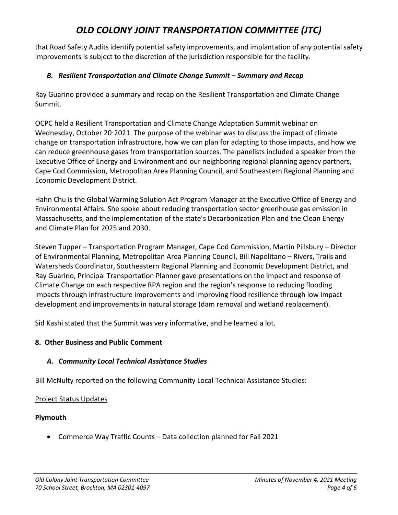that Road Safety Audits identify potential safety improvements, and implantation of any potential safety improvements is subject to the discretion of the jurisdiction responsible for the facility.

## *B. Resilient Transportation and Climate Change Summit – Summary and Recap*

Ray Guarino provided a summary and recap on the Resilient Transportation and Climate Change Summit.

OCPC held a Resilient Transportation and Climate Change Adaptation Summit webinar on Wednesday, October 20, 2021. The purpose of the webinar was to discuss the impact of climate change on transportation infrastructure, how we can plan for adapting to those impacts, and how we can reduce greenhouse gases from transportation sources. The panelists included a speaker from the Executive Office of Energy and Environment and our neighboring regional planning agency partners, Cape Cod Commission, Metropolitan Area Planning Council, and Southeastern Regional Planning and Economic Development District.

Hahn Chu is the Global Warming Solution Act Program Manager at the Executive Office of Energy and Environmental Affairs. She spoke about reducing transportation sector greenhouse gas emission in Massachusetts, and the implementation of the state's Decarbonization Plan and the Clean Energy and Climate Plan for 2025 and 2030.

Steven Tupper – Transportation Program Manager, Cape Cod Commission, Martin Pillsbury – Director of Environmental Planning, Metropolitan Area Planning Council, Bill Napolitano – Rivers, Trails and Watersheds Coordinator, Southeastern Regional Planning and Economic Development District, and Ray Guarino, Principal Transportation Planner gave presentations on the impact and response of Climate Change on each respective RPA region and the region's response to reducing flooding impacts through infrastructure improvements and improving flood resilience through low impact development and improvements in natural storage (dam removal and wetland replacement).

Sid Kashi stated that the Summit was very informative, and he learned a lot.

### **8. Other Business and Public Comment**

# *A. Community Local Technical Assistance Studies*

Bill McNulty reported on the following Community Local Technical Assistance Studies:

### Project Status Updates

### **Plymouth**

• Commerce Way Traffic Counts – Data collection planned for Fall 2021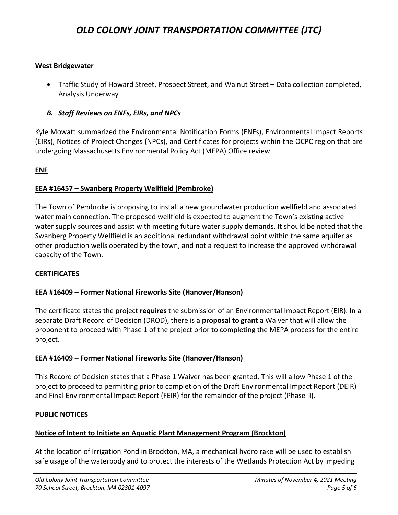#### **West Bridgewater**

- Traffic Study of Howard Street, Prospect Street, and Walnut Street Data collection completed, Analysis Underway
- *B. Staff Reviews on ENFs, EIRs, and NPCs*

Kyle Mowatt summarized the Environmental Notification Forms (ENFs), Environmental Impact Reports (EIRs), Notices of Project Changes (NPCs), and Certificates for projects within the OCPC region that are undergoing Massachusetts Environmental Policy Act (MEPA) Office review.

#### **ENF**

#### **EEA #16457 – Swanberg Property Wellfield (Pembroke)**

The Town of Pembroke is proposing to install a new groundwater production wellfield and associated water main connection. The proposed wellfield is expected to augment the Town's existing active water supply sources and assist with meeting future water supply demands. It should be noted that the Swanberg Property Wellfield is an additional redundant withdrawal point within the same aquifer as other production wells operated by the town, and not a request to increase the approved withdrawal capacity of the Town.

#### **CERTIFICATES**

### **EEA #16409 – Former National Fireworks Site (Hanover/Hanson)**

The certificate states the project **requires** the submission of an Environmental Impact Report (EIR). In a separate Draft Record of Decision (DROD), there is a **proposal to grant** a Waiver that will allow the proponent to proceed with Phase 1 of the project prior to completing the MEPA process for the entire project.

### **EEA #16409 – Former National Fireworks Site (Hanover/Hanson)**

This Record of Decision states that a Phase 1 Waiver has been granted. This will allow Phase 1 of the project to proceed to permitting prior to completion of the Draft Environmental Impact Report (DEIR) and Final Environmental Impact Report (FEIR) for the remainder of the project (Phase II).

#### **PUBLIC NOTICES**

#### **Notice of Intent to Initiate an Aquatic Plant Management Program (Brockton)**

At the location of Irrigation Pond in Brockton, MA, a mechanical hydro rake will be used to establish safe usage of the waterbody and to protect the interests of the Wetlands Protection Act by impeding